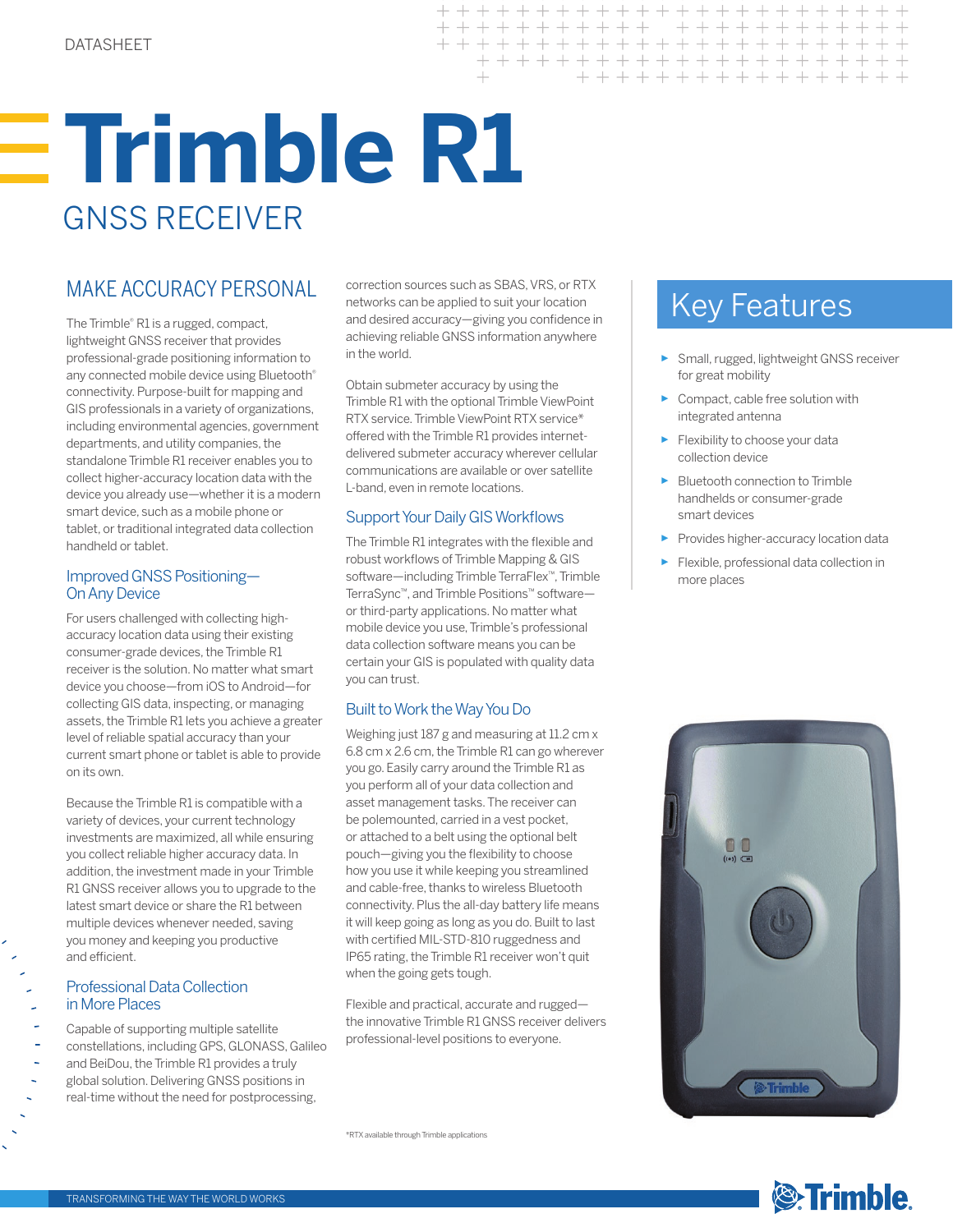# **Trimble R1** GNSS RECEIVER

The Trimble® R1 is a rugged, compact, lightweight GNSS receiver that provides professional-grade positioning information to any connected mobile device using Bluetooth® connectivity. Purpose-built for mapping and GIS professionals in a variety of organizations, including environmental agencies, government departments, and utility companies, the standalone Trimble R1 receiver enables you to collect higher-accuracy location data with the device you already use—whether it is a modern smart device, such as a mobile phone or tablet, or traditional integrated data collection handheld or tablet.

### Improved GNSS Positioning— On Any Device

For users challenged with collecting highaccuracy location data using their existing consumer-grade devices, the Trimble R1 receiver is the solution. No matter what smart device you choose—from iOS to Android—for collecting GIS data, inspecting, or managing assets, the Trimble R1 lets you achieve a greater level of reliable spatial accuracy than your current smart phone or tablet is able to provide on its own.

Because the Trimble R1 is compatible with a variety of devices, your current technology investments are maximized, all while ensuring you collect reliable higher accuracy data. In addition, the investment made in your Trimble R1 GNSS receiver allows you to upgrade to the latest smart device or share the R1 between multiple devices whenever needed, saving you money and keeping you productive and efficient.

### Professional Data Collection in More Places

- Capable of supporting multiple satellite
- constellations, including GPS, GLONASS, Galileo
- and BeiDou, the Trimble R1 provides a truly global solution. Delivering GNSS positions in
- real-time without the need for postprocessing,

MAKE ACCURACY PERSONAL correction sources such as SBAS, VRS, or RTX<br>and decired accuracy minima you confidence in the **Key Features** correction sources such as SBAS, VRS, or RTX networks can be applied to suit your location and desired accuracy—giving you confidence in achieving reliable GNSS information anywhere in the world.

> Obtain submeter accuracy by using the Trimble R1 with the optional Trimble ViewPoint RTX service. Trimble ViewPoint RTX service\* offered with the Trimble R1 provides internetdelivered submeter accuracy wherever cellular communications are available or over satellite L-band, even in remote locations.

### Support Your Daily GIS Workflows

The Trimble R1 integrates with the flexible and robust workflows of Trimble Mapping & GIS software—including Trimble TerraFlex™, Trimble TerraSync™, and Trimble Positions™ software or third-party applications. No matter what mobile device you use, Trimble's professional data collection software means you can be certain your GIS is populated with quality data you can trust.

## Built to Work the Way You Do

Weighing just 187 g and measuring at 11.2 cm x 6.8 cm x 2.6 cm, the Trimble R1 can go wherever you go. Easily carry around the Trimble R1 as you perform all of your data collection and asset management tasks. The receiver can be polemounted, carried in a vest pocket, or attached to a belt using the optional belt pouch—giving you the flexibility to choose how you use it while keeping you streamlined and cable-free, thanks to wireless Bluetooth connectivity. Plus the all-day battery life means it will keep going as long as you do. Built to last with certified MIL-STD-810 ruggedness and IP65 rating, the Trimble R1 receiver won't quit when the going gets tough.

Flexible and practical, accurate and rugged the innovative Trimble R1 GNSS receiver delivers professional-level positions to everyone.

\*RTX available through Trimble applications

- ► Small, rugged, lightweight GNSS receiver for great mobility
- ► Compact, cable free solution with integrated antenna
- ► Flexibility to choose your data collection device
- ► Bluetooth connection to Trimble handhelds or consumer-grade smart devices
- ► Provides higher-accuracy location data
- ► Flexible, professional data collection in more places